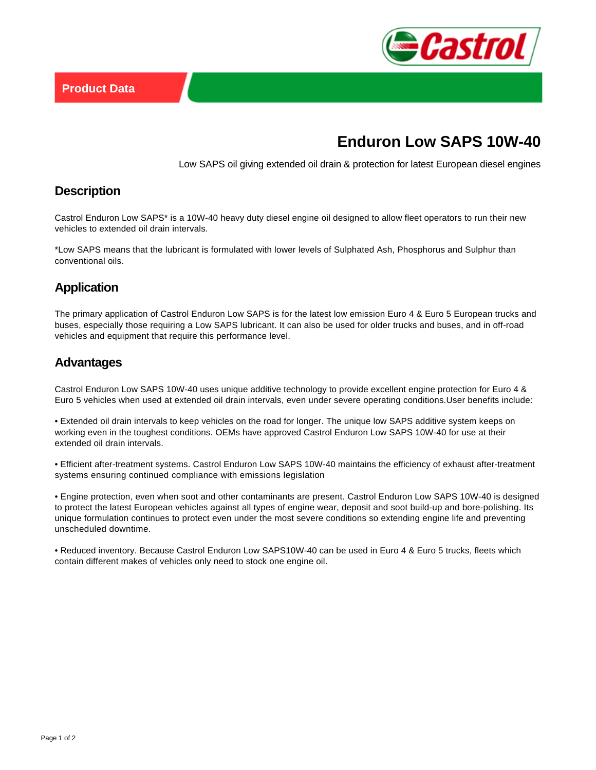

# **Enduron Low SAPS 10W-40**

Low SAPS oil giving extended oil drain & protection for latest European diesel engines

#### **Description**

Castrol Enduron Low SAPS\* is a 10W-40 heavy duty diesel engine oil designed to allow fleet operators to run their new vehicles to extended oil drain intervals.

\*Low SAPS means that the lubricant is formulated with lower levels of Sulphated Ash, Phosphorus and Sulphur than conventional oils.

### **Application**

The primary application of Castrol Enduron Low SAPS is for the latest low emission Euro 4 & Euro 5 European trucks and buses, especially those requiring a Low SAPS lubricant. It can also be used for older trucks and buses, and in off-road vehicles and equipment that require this performance level.

#### **Advantages**

Castrol Enduron Low SAPS 10W-40 uses unique additive technology to provide excellent engine protection for Euro 4 & Euro 5 vehicles when used at extended oil drain intervals, even under severe operating conditions.User benefits include:

• Extended oil drain intervals to keep vehicles on the road for longer. The unique low SAPS additive system keeps on working even in the toughest conditions. OEMs have approved Castrol Enduron Low SAPS 10W-40 for use at their extended oil drain intervals.

• Efficient after-treatment systems. Castrol Enduron Low SAPS 10W-40 maintains the efficiency of exhaust after-treatment systems ensuring continued compliance with emissions legislation

• Engine protection, even when soot and other contaminants are present. Castrol Enduron Low SAPS 10W-40 is designed to protect the latest European vehicles against all types of engine wear, deposit and soot build-up and bore-polishing. Its unique formulation continues to protect even under the most severe conditions so extending engine life and preventing unscheduled downtime.

• Reduced inventory. Because Castrol Enduron Low SAPS10W-40 can be used in Euro 4 & Euro 5 trucks, fleets which contain different makes of vehicles only need to stock one engine oil.